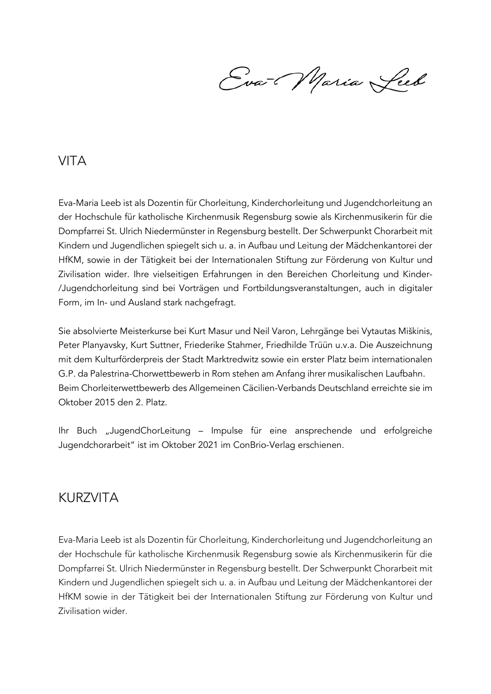Eva-Maria Leeb

## VITA

Eva-Maria Leeb ist als Dozentin für Chorleitung, Kinderchorleitung und Jugendchorleitung an der Hochschule für katholische Kirchenmusik Regensburg sowie als Kirchenmusikerin für die Dompfarrei St. Ulrich Niedermünster in Regensburg bestellt. Der Schwerpunkt Chorarbeit mit Kindern und Jugendlichen spiegelt sich u. a. in Aufbau und Leitung der Mädchenkantorei der HfKM, sowie in der Tätigkeit bei der Internationalen Stiftung zur Förderung von Kultur und Zivilisation wider. Ihre vielseitigen Erfahrungen in den Bereichen Chorleitung und Kinder- /Jugendchorleitung sind bei Vorträgen und Fortbildungsveranstaltungen, auch in digitaler Form, im In- und Ausland stark nachgefragt.

Sie absolvierte Meisterkurse bei Kurt Masur und Neil Varon, Lehrgänge bei Vytautas Miškinis, Peter Planyavsky, Kurt Suttner, Friederike Stahmer, Friedhilde Trüün u.v.a. Die Auszeichnung mit dem Kulturförderpreis der Stadt Marktredwitz sowie ein erster Platz beim internationalen G.P. da Palestrina-Chorwettbewerb in Rom stehen am Anfang ihrer musikalischen Laufbahn. Beim Chorleiterwettbewerb des Allgemeinen Cäcilien-Verbands Deutschland erreichte sie im Oktober 2015 den 2. Platz.

Ihr Buch "JugendChorLeitung – Impulse für eine ansprechende und erfolgreiche Jugendchorarbeit" ist im Oktober 2021 im ConBrio-Verlag erschienen.

## KURZVITA

Eva-Maria Leeb ist als Dozentin für Chorleitung, Kinderchorleitung und Jugendchorleitung an der Hochschule für katholische Kirchenmusik Regensburg sowie als Kirchenmusikerin für die Dompfarrei St. Ulrich Niedermünster in Regensburg bestellt. Der Schwerpunkt Chorarbeit mit Kindern und Jugendlichen spiegelt sich u. a. in Aufbau und Leitung der Mädchenkantorei der HfKM sowie in der Tätigkeit bei der Internationalen Stiftung zur Förderung von Kultur und Zivilisation wider.